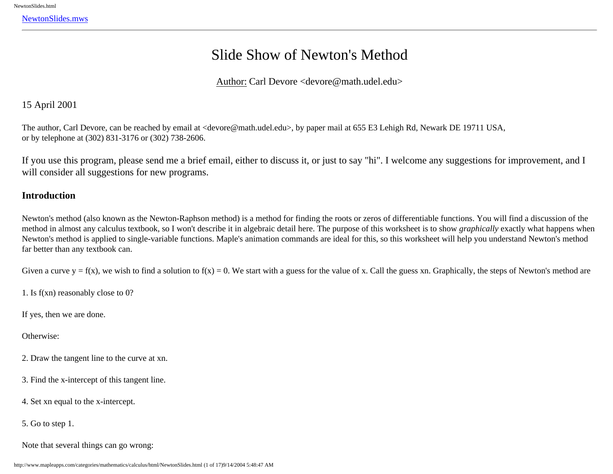<span id="page-0-0"></span>[NewtonSlides.mws](#page-0-0)

# Slide Show of Newton's Method

Author: Carl Devore <devore@math.udel.edu>

# 15 April 2001

The author, Carl Devore, can be reached by email at <devore@math.udel.edu>, by paper mail at 655 E3 Lehigh Rd, Newark DE 19711 USA, or by telephone at (302) 831-3176 or (302) 738-2606.

If you use this program, please send me a brief email, either to discuss it, or just to say "hi". I welcome any suggestions for improvement, and I will consider all suggestions for new programs.

# **Introduction**

Newton's method (also known as the Newton-Raphson method) is a method for finding the roots or zeros of differentiable functions. You will find a discussion of the method in almost any calculus textbook, so I won't describe it in algebraic detail here. The purpose of this worksheet is to show *graphically* exactly what happens when Newton's method is applied to single-variable functions. Maple's animation commands are ideal for this, so this worksheet will help you understand Newton's method far better than any textbook can.

Given a curve  $y = f(x)$ , we wish to find a solution to  $f(x) = 0$ . We start with a guess for the value of x. Call the guess xn. Graphically, the steps of Newton's method are

1. Is f(xn) reasonably close to 0?

If yes, then we are done.

Otherwise:

- 2. Draw the tangent line to the curve at xn.
- 3. Find the x-intercept of this tangent line.
- 4. Set xn equal to the x-intercept.
- 5. Go to step 1.
- Note that several things can go wrong: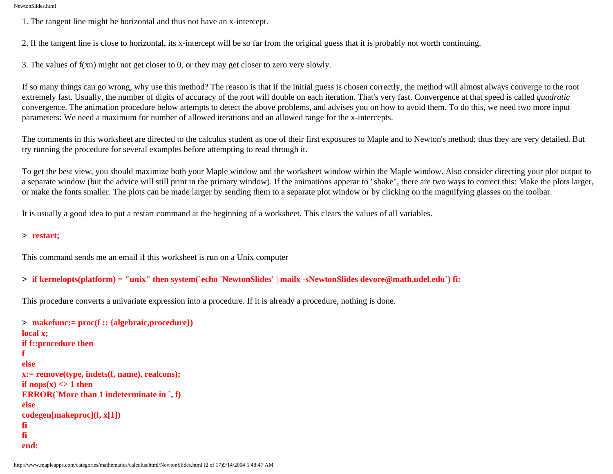1. The tangent line might be horizontal and thus not have an x-intercept.

2. If the tangent line is close to horizontal, its x-intercept will be so far from the original guess that it is probably not worth continuing.

3. The values of f(xn) might not get closer to 0, or they may get closer to zero very slowly.

If so many things can go wrong, why use this method? The reason is that if the initial guess is chosen correctly, the method will almost always converge to the root extremely fast. Usually, the number of digits of accuracy of the root will double on each iteration. That's very fast. Convergence at that speed is called *quadratic* convergence. The animation procedure below attempts to detect the above problems, and advises you on how to avoid them. To do this, we need two more input parameters: We need a maximum for number of allowed iterations and an allowed range for the x-intercepts.

The comments in this worksheet are directed to the calculus student as one of their first exposures to Maple and to Newton's method; thus they are very detailed. But try running the procedure for several examples before attempting to read through it.

To get the best view, you should maximize both your Maple window and the worksheet window within the Maple window. Also consider directing your plot output to a separate window (but the advice will still print in the primary window). If the animations apperar to "shake", there are two ways to correct this: Make the plots larger, or make the fonts smaller. The plots can be made larger by sending them to a separate plot window or by clicking on the magnifying glasses on the toolbar.

It is usually a good idea to put a restart command at the beginning of a worksheet. This clears the values of all variables.

#### > **restart;**

This command sends me an email if this worksheet is run on a Unix computer

### > **if kernelopts(platform) = "unix" then system(`echo 'NewtonSlides' | mailx -sNewtonSlides devore@math.udel.edu`) fi:**

This procedure converts a univariate expression into a procedure. If it is already a procedure, nothing is done.

```
> makefunc:= proc(f :: {algebraic,procedure})
local x;
if f::procedure then
f
else
x:= remove(type, indets(f, name), realcons);
if nops(x) \leq 1 then
ERROR(`More than 1 indeterminate in `, f)
else 
codegen[makeproc](f, x[1])
fi
fi
end:
```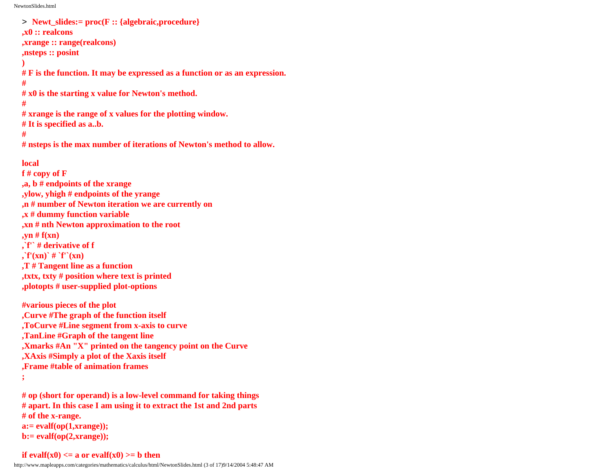```
> Newt_slides:= proc(F :: {algebraic,procedure}
,x0 :: realcons
,xrange :: range(realcons)
,nsteps :: posint
)
# F is the function. It may be expressed as a function or as an expression.
#
# x0 is the starting x value for Newton's method.
#
# xrange is the range of x values for the plotting window. 
# It is specified as a..b.
#
# nsteps is the max number of iterations of Newton's method to allow.
local
f # copy of F 
,a, b # endpoints of the xrange
,ylow, yhigh # endpoints of the yrange
,n # number of Newton iteration we are currently on
,x # dummy function variable
,xn # nth Newton approximation to the root
,yn # f(xn)
,`f'` # derivative of f
, f'(xn)<sup>+</sup> f'(xn),T # Tangent line as a function
,txtx, txty # position where text is printed
,plotopts # user-supplied plot-options
#various pieces of the plot
,Curve #The graph of the function itself
,ToCurve #Line segment from x-axis to curve
,TanLine #Graph of the tangent line
```
**,Xmarks #An "X" printed on the tangency point on the Curve**

**,XAxis #Simply a plot of the Xaxis itself**

**,Frame #table of animation frames**

**;**

**# op (short for operand) is a low-level command for taking things # apart. In this case I am using it to extract the 1st and 2nd parts # of the x-range. a:= evalf(op(1,xrange)); b:= evalf(op(2,xrange));**

#### **if evalf(x0)**  $\leq$  **a** or evalf(x0)  $\geq$  **b** then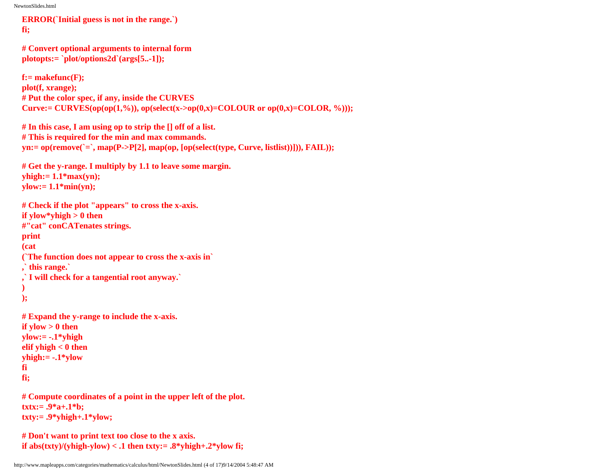```
ERROR(`Initial guess is not in the range.`)
fi;
```

```
# Convert optional arguments to internal form
plotopts:= `plot/options2d`(args[5..-1]);
```
**f:= makefunc(F); plot(f, xrange); # Put the color spec, if any, inside the CURVES Curve:= CURVES(op(op(1,%)), op(select(x->op(0,x)=COLOUR or op(0,x)=COLOR, %)));** 

```
# In this case, I am using op to strip the [] off of a list. 
# This is required for the min and max commands.
yn:= op(remove(`=`, map(P->P[2], map(op, [op(select(type, Curve, listlist))])), FAIL));
```

```
# Get the y-range. I multiply by 1.1 to leave some margin. 
yhigh:= 1.1*max(yn);
ylow:= 1.1*min(yn);
```

```
# Check if the plot "appears" to cross the x-axis.
if ylow*yhigh > 0 then
#"cat" conCATenates strings.
print
(cat
(`The function does not appear to cross the x-axis in`
,` this range.`
,` I will check for a tangential root anyway.`
)
);
# Expand the y-range to include the x-axis.
if ylow > 0 then
ylow:= -.1*yhigh 
elif yhigh < 0 then 
yhigh:= -.1*ylow 
fi 
fi;
```
**# Compute coordinates of a point in the upper left of the plot. txtx:= .9\*a+.1\*b; txty:= .9\*yhigh+.1\*ylow;**

```
# Don't want to print text too close to the x axis.
if abs(txty)/(yhigh-ylow) < .1 then txty:= .8^*yhigh+.2*ylow fi;
```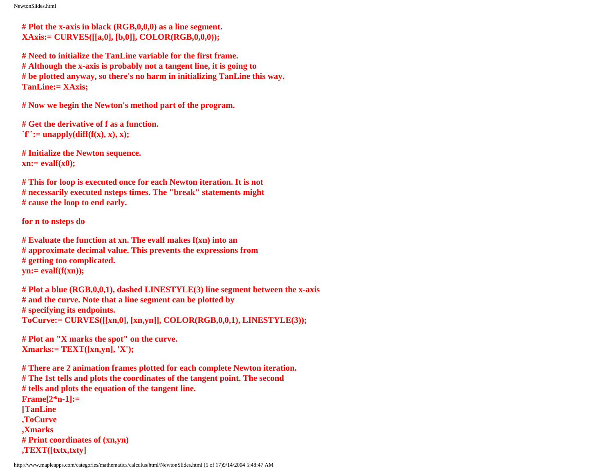**# Plot the x-axis in black (RGB,0,0,0) as a line segment. XAxis:= CURVES([[a,0], [b,0]], COLOR(RGB,0,0,0));**

**# Need to initialize the TanLine variable for the first frame. # Although the x-axis is probably not a tangent line, it is going to # be plotted anyway, so there's no harm in initializing TanLine this way. TanLine:= XAxis;**

**# Now we begin the Newton's method part of the program.**

**# Get the derivative of f as a function.**   $\hat{f}'':=\text{unapply}(\text{diff}(f(x), x), x);$ 

**# Initialize the Newton sequence. xn:= evalf(x0);**

**# This for loop is executed once for each Newton iteration. It is not # necessarily executed nsteps times. The "break" statements might # cause the loop to end early.**

**for n to nsteps do**

**# Evaluate the function at xn. The evalf makes f(xn) into an # approximate decimal value. This prevents the expressions from # getting too complicated. yn:= evalf(f(xn));**

**# Plot a blue (RGB,0,0,1), dashed LINESTYLE(3) line segment between the x-axis # and the curve. Note that a line segment can be plotted by # specifying its endpoints. ToCurve:= CURVES([[xn,0], [xn,yn]], COLOR(RGB,0,0,1), LINESTYLE(3));**

**# Plot an "X marks the spot" on the curve. Xmarks:= TEXT([xn,yn], 'X');**

**# There are 2 animation frames plotted for each complete Newton iteration. # The 1st tells and plots the coordinates of the tangent point. The second # tells and plots the equation of the tangent line. Frame[2\*n-1]:= [TanLine ,ToCurve ,Xmarks # Print coordinates of (xn,yn) ,TEXT([txtx,txty]**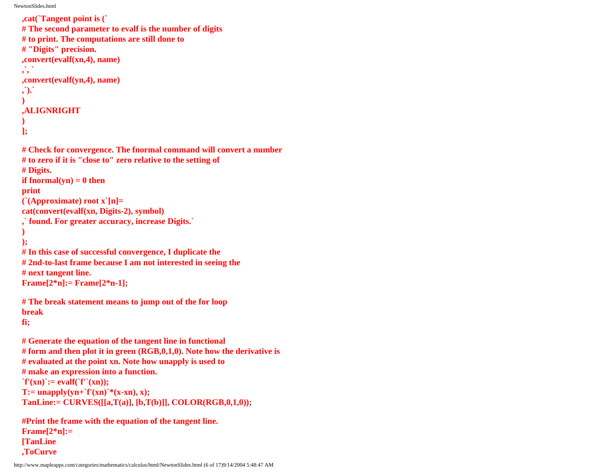**,ToCurve**

```
,cat(`Tangent point is (`
# The second parameter to evalf is the number of digits 
# to print. The computations are still done to 
# "Digits" precision.
,convert(evalf(xn,4), name)
,`, `
,convert(evalf(yn,4), name)
,`).`
) 
,ALIGNRIGHT
)
];
# Check for convergence. The fnormal command will convert a number
# to zero if it is "close to" zero relative to the setting of
# Digits.
if fnormal(yn) = 0 then
print
(`(Approximate) root x`[n]=
cat(convert(evalf(xn, Digits-2), symbol)
,` found. For greater accuracy, increase Digits.`
)
);
# In this case of successful convergence, I duplicate the
# 2nd-to-last frame because I am not interested in seeing the 
# next tangent line.
Frame[2*n]:= Frame[2*n-1];
# The break statement means to jump out of the for loop
break
fi;
# Generate the equation of the tangent line in functional 
# form and then plot it in green (RGB,0,1,0). Note how the derivative is 
# evaluated at the point xn. Note how unapply is used to
# make an expression into a function.
\hat{f}'(xn) := evalf(f''(xn));T:=unapply(yn+`f'(xn)`*(x-xn), x);
TanLine:= CURVES([[a,T(a)], [b,T(b)]], COLOR(RGB,0,1,0));
#Print the frame with the equation of the tangent line.
Frame[2*n]:= 
[TanLine
```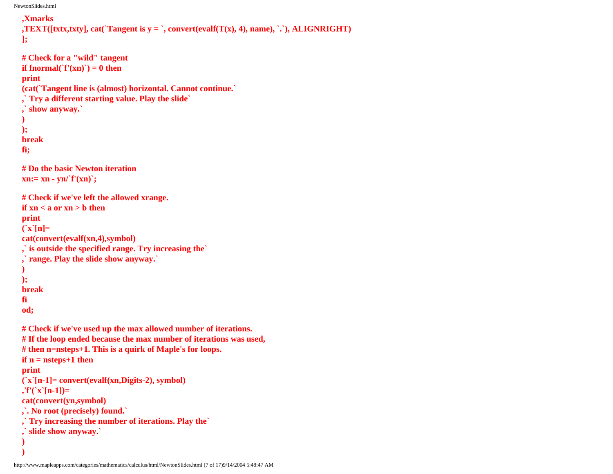```
,Xmarks
,TEXT([txtx,txty], cat(`Tangent is y = `, convert(evalf(T(x), 4), name), `, `, ALIGNRIGHT)
];
# Check for a "wild" tangent
if fnormal(`f'(xn)`) = 0 then
print
(cat(`Tangent line is (almost) horizontal. Cannot continue.`
,` Try a different starting value. Play the slide`
 ,` show anyway.`
)
);
break
fi;
# Do the basic Newton iteration
xn:= xn - yn/f'(xn);
# Check if we've left the allowed xrange.
if xn < a or xn > b then
print
(`x`[n]=
cat(convert(evalf(xn,4),symbol)
,` is outside the specified range. Try increasing the`
 ,` range. Play the slide show anyway.`
)
);
break
fi
od;
# Check if we've used up the max allowed number of iterations.
# If the loop ended because the max number of iterations was used, 
# then n=nsteps+1. This is a quirk of Maple's for loops.
if n = nsteps+1 then
print
(`x`[n-1]= convert(evalf(xn,Digits-2), symbol)
,'f'(`x`[n-1])= 
cat(convert(yn,symbol)
,`. No root (precisely) found.`
,` Try increasing the number of iterations. Play the`
 ,` slide show anyway.`
)
)
```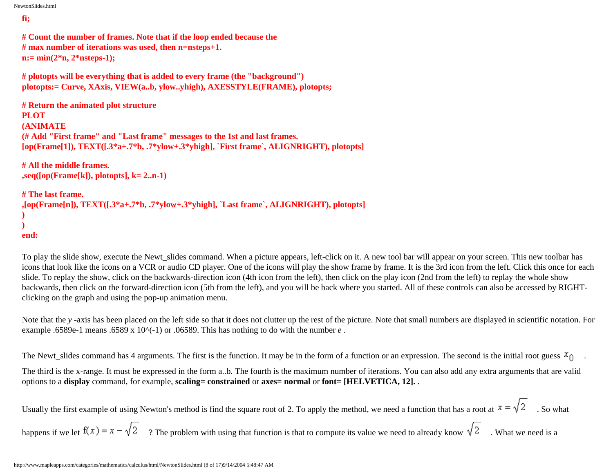## **fi;**

**# Count the number of frames. Note that if the loop ended because the # max number of iterations was used, then n=nsteps+1. n:= min(2\*n, 2\*nsteps-1);**

```
# plotopts will be everything that is added to every frame (the "background")
plotopts:= Curve, XAxis, VIEW(a..b, ylow..yhigh), AXESSTYLE(FRAME), plotopts;
```

```
# Return the animated plot structure
PLOT
(ANIMATE
(# Add "First frame" and "Last frame" messages to the 1st and last frames. 
[op(Frame[1]), TEXT([.3*a+.7*b, .7*ylow+.3*yhigh], `First frame`, ALIGNRIGHT), plotopts]
```

```
# All the middle frames.
,seq([op(Frame[k]), plotopts], k= 2..n-1)
```

```
# The last frame.
,[op(Frame[n]), TEXT([.3*a+.7*b, .7*ylow+.3*yhigh], `Last frame`, ALIGNRIGHT), plotopts]
)
)
end:
```
To play the slide show, execute the Newt slides command. When a picture appears, left-click on it. A new tool bar will appear on your screen. This new toolbar has icons that look like the icons on a VCR or audio CD player. One of the icons will play the show frame by frame. It is the 3rd icon from the left. Click this once for each slide. To replay the show, click on the backwards-direction icon (4th icon from the left), then click on the play icon (2nd from the left) to replay the whole show backwards, then click on the forward-direction icon (5th from the left), and you will be back where you started. All of these controls can also be accessed by RIGHTclicking on the graph and using the pop-up animation menu.

Note that the *y*-axis has been placed on the left side so that it does not clutter up the rest of the picture. Note that small numbers are displayed in scientific notation. For example .6589e-1 means .6589 x 10 $\sim$ (-1) or .06589. This has nothing to do with the number *e*.

The Newt\_slides command has 4 arguments. The first is the function. It may be in the form of a function or an expression. The second is the initial root guess  $x<sub>0</sub>$ .

The third is the x-range. It must be expressed in the form a..b. The fourth is the maximum number of iterations. You can also add any extra arguments that are valid options to a **display** command, for example, **scaling= constrained** or **axes= normal** or **font= [HELVETICA, 12].** .

Usually the first example of using Newton's method is find the square root of 2. To apply the method, we need a function that has a root at  $x = \sqrt{2}$ . So what

happens if we let  $f(x) = x - \sqrt{2}$  ? The problem with using that function is that to compute its value we need to already know  $\sqrt{2}$ . What we need is a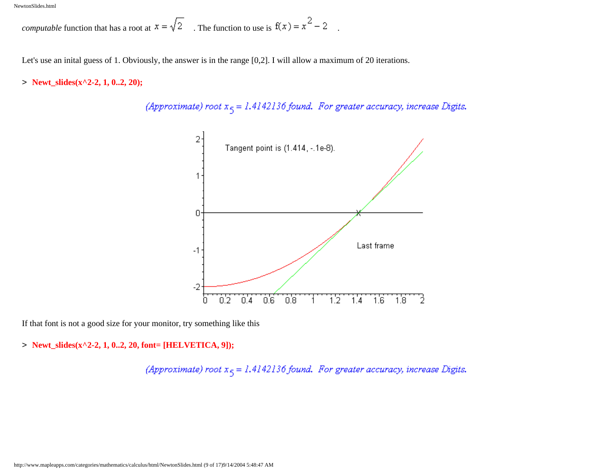*computable* function that has a root at  $x = \sqrt{2}$ . The function to use is  $f(x) = x^2 - 2$ .

Let's use an inital guess of 1. Obviously, the answer is in the range [0,2]. I will allow a maximum of 20 iterations.

> **Newt\_slides(x^2-2, 1, 0..2, 20);**

(Approximate) root  $x_5 = 1.4142136$  found. For greater accuracy, increase Digits.



If that font is not a good size for your monitor, try something like this

> **Newt\_slides(x^2-2, 1, 0..2, 20, font= [HELVETICA, 9]);**

(Approximate) root  $x_5 = 1.4142136$  found. For greater accuracy, increase Digits.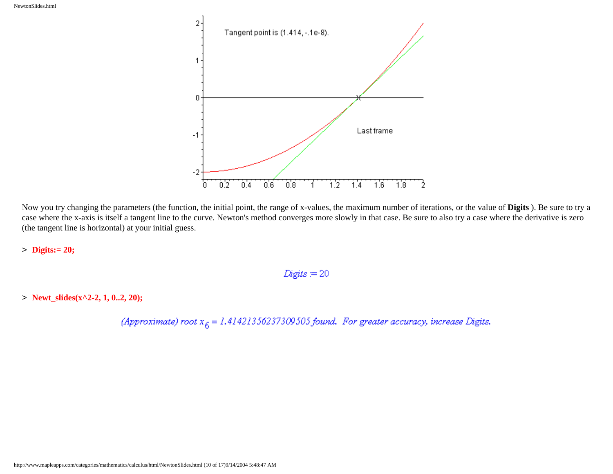

Now you try changing the parameters (the function, the initial point, the range of x-values, the maximum number of iterations, or the value of **Digits** ). Be sure to try a case where the x-axis is itself a tangent line to the curve. Newton's method converges more slowly in that case. Be sure to also try a case where the derivative is zero (the tangent line is horizontal) at your initial guess.

> **Digits:= 20;**

$$
Digits = 20
$$

> **Newt\_slides(x^2-2, 1, 0..2, 20);**

(Approximate) root  $x_6 = 1.41421356237309505$  found. For greater accuracy, increase Digits.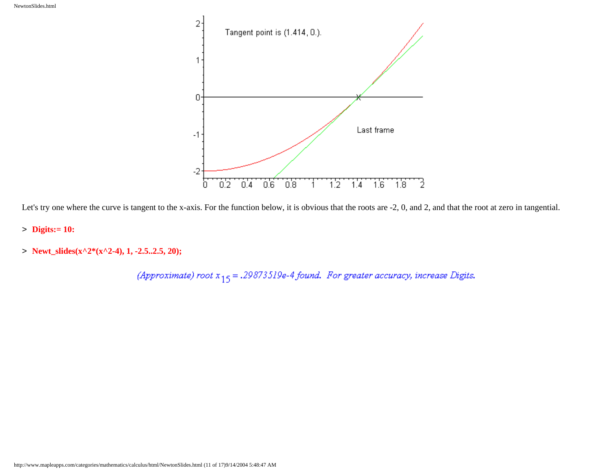

Let's try one where the curve is tangent to the x-axis. For the function below, it is obvious that the roots are -2, 0, and 2, and that the root at zero in tangential.

- > **Digits:= 10:**
- > **Newt\_slides(x^2\*(x^2-4), 1, -2.5..2.5, 20);**

(Approximate) root  $x_{15} = .29873519e-4$  found. For greater accuracy, increase Digits.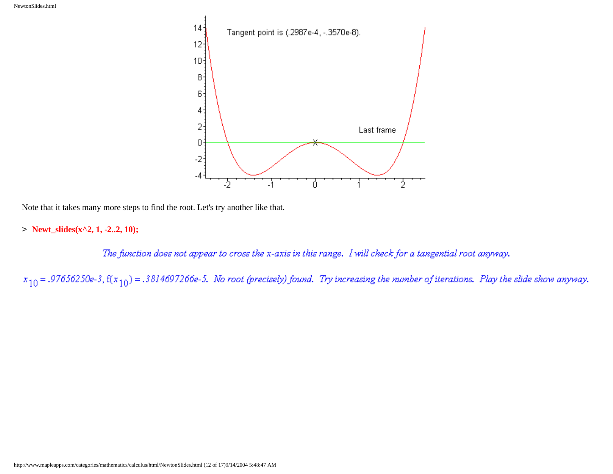

Note that it takes many more steps to find the root. Let's try another like that.

> **Newt\_slides(x^2, 1, -2..2, 10);**

The function does not appear to cross the x-axis in this range. I will check for a tangential root anyway.

 $x_{10} = .97656250$ e-3, f( $x_{10}$ ) = .3814697266e-5. No root (precisely) found. Try increasing the number of iterations. Play the slide show anyway.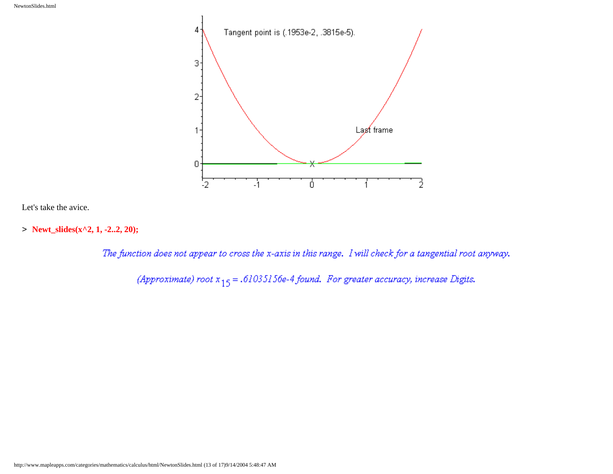

Let's take the avice.

> **Newt\_slides(x^2, 1, -2..2, 20);**

The function does not appear to cross the x-axis in this range. I will check for a tangential root anyway.

(Approximate) root  $x_{15} = .61035156e-4$  found. For greater accuracy, increase Digits.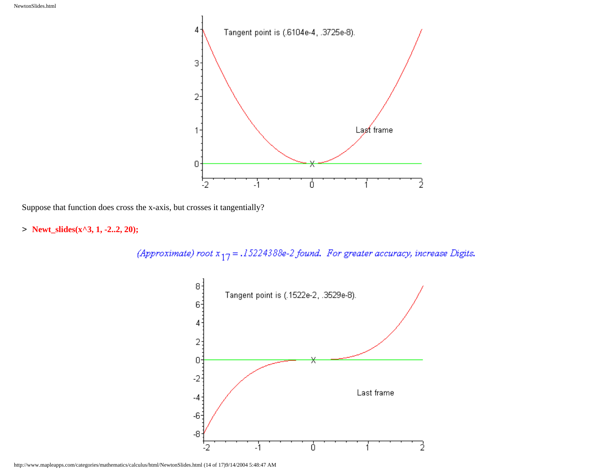

Suppose that function does cross the x-axis, but crosses it tangentially?

> **Newt\_slides(x^3, 1, -2..2, 20);**

(Approximate) root  $x_{17} = .15224388e-2$  found. For greater accuracy, increase Digits.

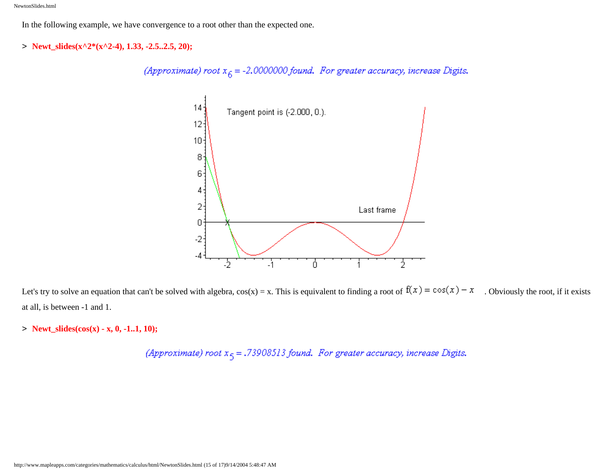In the following example, we have convergence to a root other than the expected one.

> **Newt\_slides(x^2\*(x^2-4), 1.33, -2.5..2.5, 20);**

(Approximate) root  $x_6 = -2.0000000$  found. For greater accuracy, increase Digits.



Let's try to solve an equation that can't be solved with algebra,  $cos(x) = x$ . This is equivalent to finding a root of  $f(x) = cos(x) - x$ . Obviously the root, if it exists at all, is between -1 and 1.

> **Newt\_slides(cos(x) - x, 0, -1..1, 10);**

(Approximate) root  $x_5 = .73908513$  found. For greater accuracy, increase Digits.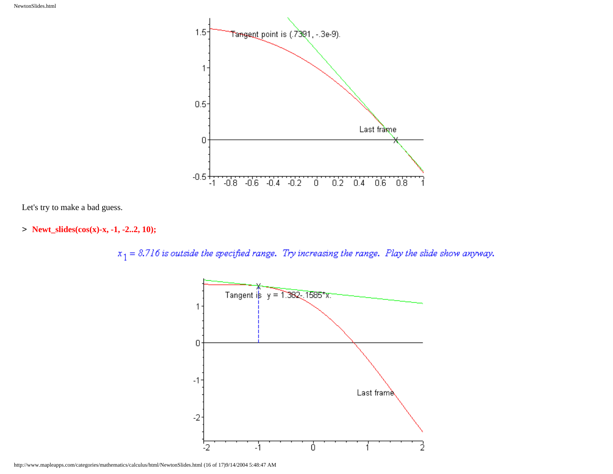

Let's try to make a bad guess.

> **Newt\_slides(cos(x)-x, -1, -2..2, 10);**

 $x_1 = 8.716$  is outside the specified range. Try increasing the range. Play the slide show anyway.